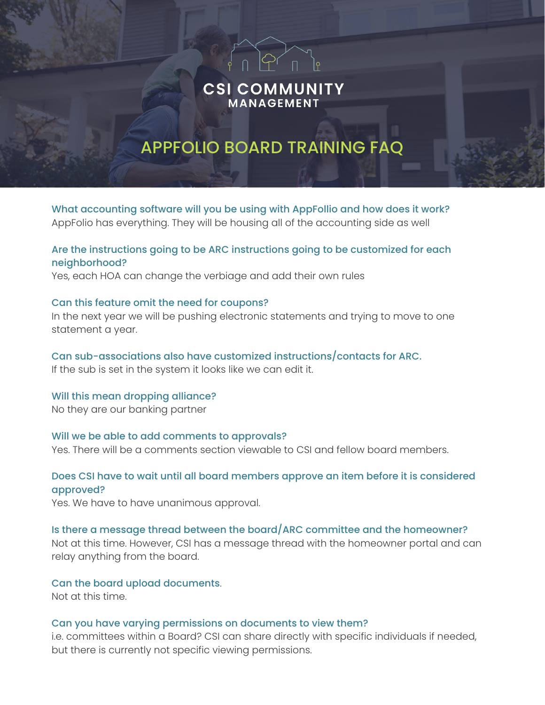## **CSI COMMUNITY** MANAGEMENT

 $\widehat{P}$ ( n  $\widehat{P}$ 

# APPFOLIO BOARD TRAINING FAQ

What accounting software will you be using with AppFollio and how does it work? AppFolio has everything. They will be housing all of the accounting side as well

## Are the instructions going to be ARC instructions going to be customized for each neighborhood?

Yes, each HOA can change the verbiage and add their own rules

#### Can this feature omit the need for coupons?

In the next year we will be pushing electronic statements and trying to move to one statement a year.

#### Can sub-associations also have customized instructions/contacts for ARC.

If the sub is set in the system it looks like we can edit it.

## Will this mean dropping alliance?

No they are our banking partner

#### Will we be able to add comments to approvals?

Yes. There will be a comments section viewable to CSI and fellow board members.

## Does CSI have to wait until all board members approve an item before it is considered approved?

Yes. We have to have unanimous approval.

#### Is there a message thread between the board/ARC committee and the homeowner?

Not at this time. However, CSI has a message thread with the homeowner portal and can relay anything from the board.

#### Can the board upload documents.

Not at this time.

#### Can you have varying permissions on documents to view them?

i.e. committees within a Board? CSI can share directly with specific individuals if needed, but there is currently not specific viewing permissions.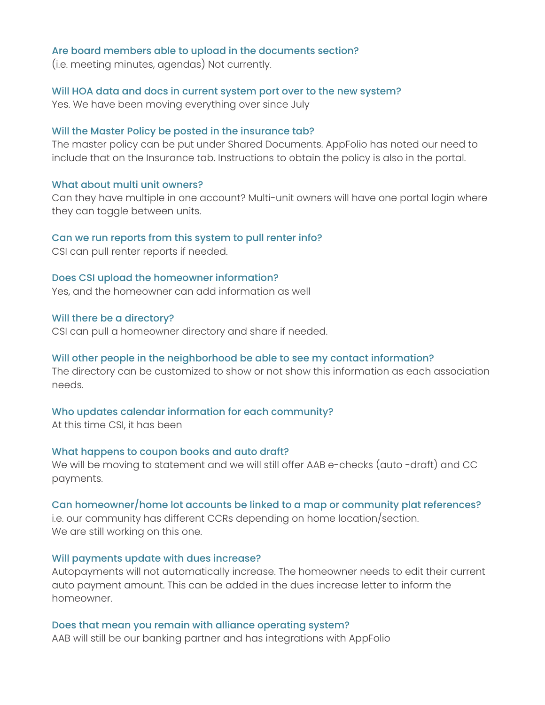#### Are board members able to upload in the documents section?

(i.e. meeting minutes, agendas) Not currently.

#### Will HOA data and docs in current system port over to the new system?

Yes. We have been moving everything over since July

#### Will the Master Policy be posted in the insurance tab?

The master policy can be put under Shared Documents. AppFolio has noted our need to include that on the Insurance tab. Instructions to obtain the policy is also in the portal.

#### What about multi unit owners?

Can they have multiple in one account? Multi-unit owners will have one portal login where they can toggle between units.

#### Can we run reports from this system to pull renter info?

CSI can pull renter reports if needed.

#### Does CSI upload the homeowner information?

Yes, and the homeowner can add information as well

#### Will there be a directory?

CSI can pull a homeowner directory and share if needed.

#### Will other people in the neighborhood be able to see my contact information?

The directory can be customized to show or not show this information as each association needs.

#### Who updates calendar information for each community?

At this time CSI, it has been

#### What happens to coupon books and auto draft?

We will be moving to statement and we will still offer AAB e-checks (auto -draft) and CC payments.

#### Can homeowner/home lot accounts be linked to a map or community plat references?

i.e. our community has different CCRs depending on home location/section. We are still working on this one.

#### Will payments update with dues increase?

Autopayments will not automatically increase. The homeowner needs to edit their current auto payment amount. This can be added in the dues increase letter to inform the homeowner.

#### Does that mean you remain with alliance operating system?

AAB will still be our banking partner and has integrations with AppFolio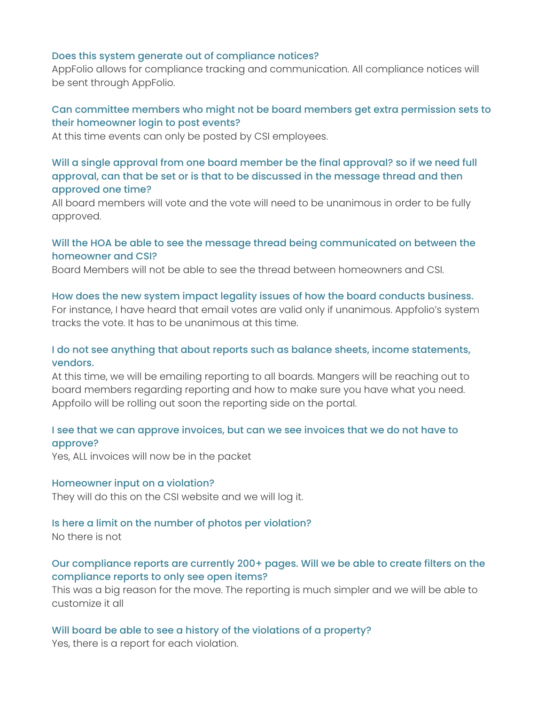#### Does this system generate out of compliance notices?

AppFolio allows for compliance tracking and communication. All compliance notices will be sent through AppFolio.

## Can committee members who might not be board members get extra permission sets to their homeowner login to post events?

At this time events can only be posted by CSI employees.

## Will a single approval from one board member be the final approval? so if we need full approval, can that be set or is that to be discussed in the message thread and then approved one time?

All board members will vote and the vote will need to be unanimous in order to be fully approved.

## Will the HOA be able to see the message thread being communicated on between the homeowner and CSI?

Board Members will not be able to see the thread between homeowners and CSI.

#### How does the new system impact legality issues of how the board conducts business.

For instance, I have heard that email votes are valid only if unanimous. Appfolio's system tracks the vote. It has to be unanimous at this time.

## I do not see anything that about reports such as balance sheets, income statements, vendors.

At this time, we will be emailing reporting to all boards. Mangers will be reaching out to board members regarding reporting and how to make sure you have what you need. Appfoilo will be rolling out soon the reporting side on the portal.

## I see that we can approve invoices, but can we see invoices that we do not have to approve?

Yes, ALL invoices will now be in the packet

#### Homeowner input on a violation?

They will do this on the CSI website and we will log it.

#### Is here a limit on the number of photos per violation?

No there is not

## Our compliance reports are currently 200+ pages. Will we be able to create filters on the compliance reports to only see open items?

This was a big reason for the move. The reporting is much simpler and we will be able to customize it all

#### Will board be able to see a history of the violations of a property?

Yes, there is a report for each violation.